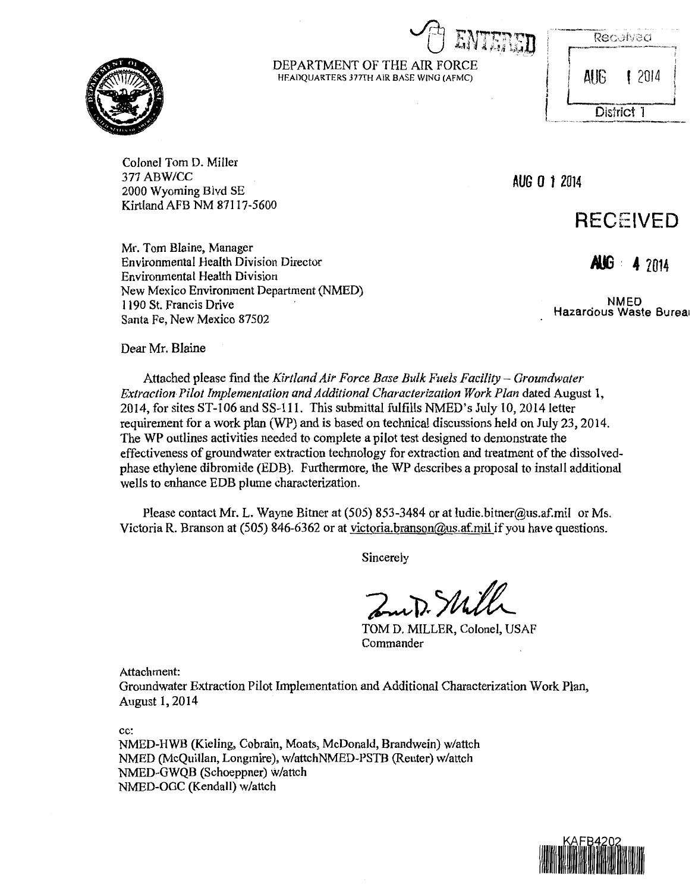$\cup$ <sub>()</sub> entered

| .<br>$-1.569 \pm 0.011$<br>Received |
|-------------------------------------|
| <b>SMACAS AND IMAGE</b>             |

 $\left| \begin{array}{ccc} \end{array} \right|$  **AUG** 1 2014

District 1

Colonel Tom D. Miller 377 ABW/CC 2000 Wyoming Blvd SE Kirtland AFB NM 87117-5600

Environmental Health Division Director

New Mexico Environment Department (NMED)

Mr. Tom Blaine, Manager

1190 St. Francis Drive Santa Fe, New Mexico 87502

Environmental Health Division

**AUG 0** *1* <sup>2014</sup>

# **RECEIVED**

*100* **· 4** Z014

NMED Hazardous Waste Burea1

Dear Mr. Blaine

Attached please find the *Kirtland Air Force Base Bulk Fuels Facility- Groundwater Extraction Pilot Implementation and Additional Characterization Work Plan dated August 1,* 2014, for sites ST-106 and SS-111. This submittal fulfills NMED's July 10,2014 letter requirement for a work plan (WP) and is based on technical discussions held on July 23, 2014. The WP outlines activities needed to complete a pilot test designed to demonstrate the effectiveness of groundwater extraction technology for extraction and treatment of the dissolvedphase ethylene dibromide (EDB). Furthermore, the WP describes a proposal to install additional wells to enhance EDB plume characterization.

DEPARTMENT OF THE AIR FORCE HEADQUARTERS 377TH AIR BASE WING (AFMC)

Please contact Mr. L. Wayne Bitner at (505) 853-3484 or at ludie.bitner@us.af.mil or Ms. Victoria R. Branson at (505) 846-6362 or at victoria.branson@us.af.mil if you have questions.

Sincerely

Zuit. Still

TOM D. MILLER, Colonel, USAF Commander

Attachment:

Groundwater Extraction Pilot Implementation and Additional Characterization Work Plan, August 1, 2014

cc:

NMED-HWB (Kieling, Cobrain, Moats, McDonald, Brandwein) w/attch NMED (McQuillan, Longmire), w/attchNMED-PSTB (Reuter) w/attch NMED-GWQB (Schoeppner) w/attch NMED-OGC (Kendall) w/attch



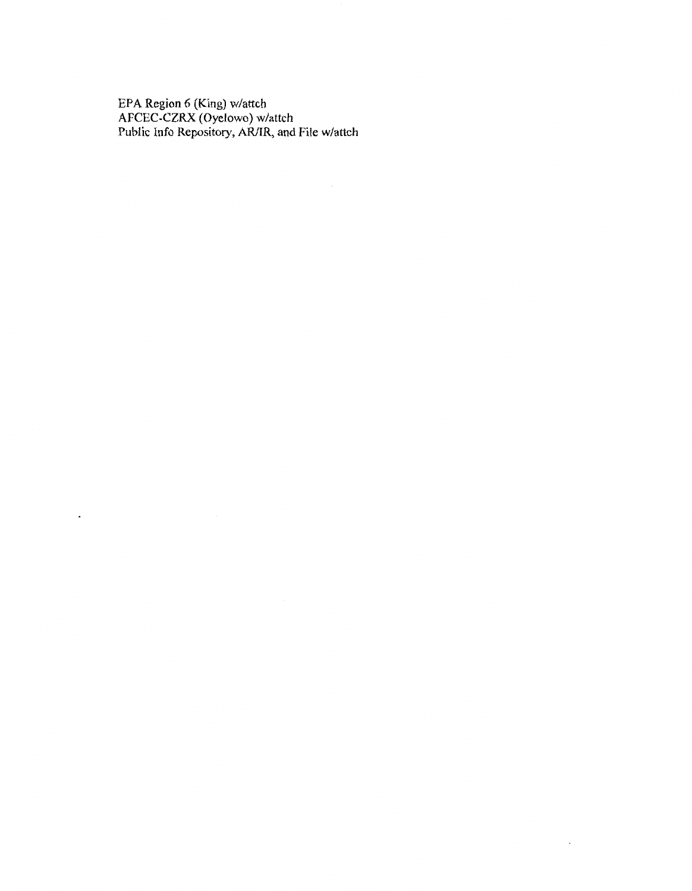EPA Region 6 (King) w/attch AFCEC-CZRX (Oyelowo) w/attch Public Info Repository, AR/IR, and File w/attch

 $\epsilon$ 

 $\ddot{\phantom{0}}$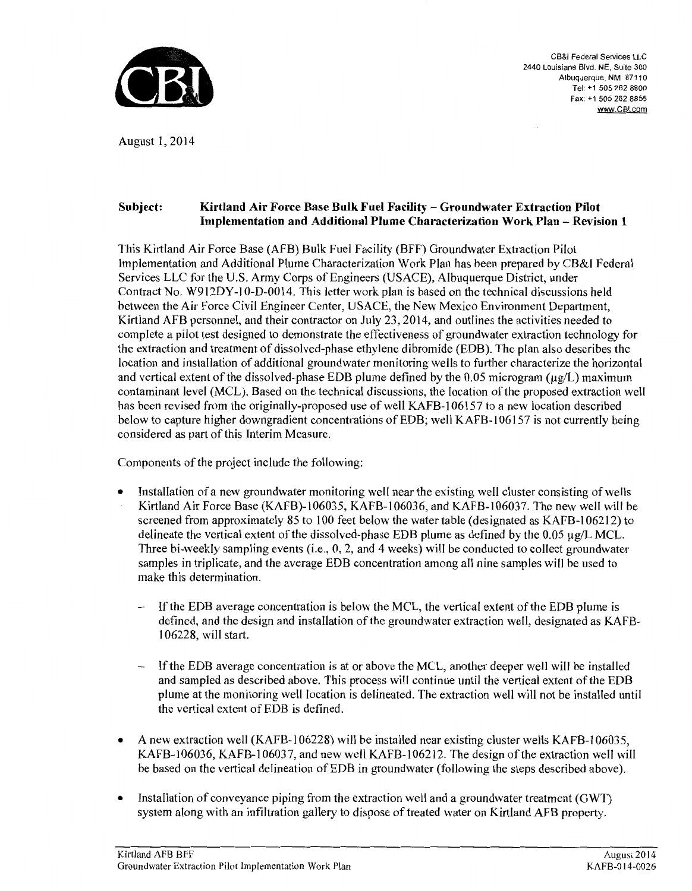

CB&I Federal Services LLC 2440 Louisiana Blvd. NE, Suite 300 Albuquerque, NM 87110 Tel: +1 505 262 8800 Fax: +1 505 262 8855 www.CBI.com

August 1, 2014

### Subject: Kirtland Air Force Base Bulk Fuel Facility- Groundwater Extraction Pilot Implementation and Additional Plume Characterization Work Plan- Revision 1

This Kirtland Air Force Base (AFB) Bulk Fuel Facility (BFF) Groundwater Extraction Pilot Implementation and Additional Plume Characterization Work Plan has been prepared by CB&I Federal Services LLC for the U.S. Army Corps of Engineers (USACE), Albuquerque District, under Contract No. W912DY-10-D-0014. This letter work plan is based on the technical discussions held between the Air Force Civil Engineer Center, USACE, the New Mexico Environment Department, Kirtland AFB personnel, and their contractor on July 23, 2014, and outlines the activities needed to complete a pilot test designed to demonstrate the effectiveness of groundwater extraction technology for the extraction and treatment of dissolved-phase ethylene dibromide (EDB). The plan also describes the location and installation of additional groundwater monitoring wells to further characterize the horizontal and vertical extent of the dissolved-phase EDB plume defined by the 0.05 microgram ( $\mu$ g/L) maximum contaminant level (MCL). Based on the technical discussions, the location of the proposed extraction well has been revised from the originally-proposed use of well KAFB-106157 to a new location described below to capture higher downgradient concentrations of EDB; well KAFB-1 06157 is not currently being considered as part of this Interim Measure.

Components of the project include the following:

- Installation of a new groundwater monitoring well near the existing well cluster consisting of wells Kirtland Air Force Base (KAFB)-1 06035, KAFB-1 06036, and KAFB-1 06037. The new well will be screened from approximately 85 to 100 feet below the water table (designated as KAFB-106212) to delineate the vertical extent of the dissolved-phase EDB plume as defined by the  $0.05 \mu g/L MCL$ . Three bi-weekly sampling events (i.e., 0, 2, and 4 weeks) will be conducted to collect groundwater samples in triplicate, and the average EDB concentration among all nine samples will be used to make this determination.
	- If the EDB average concentration is below the MCL, the vertical extent of the EDB plume is defined, and the design and installation of the groundwater extraction well, designated as KAFB-1 06228, will start.
	- If the EDB average concentration is at or above the MCL, another deeper well will be installed and sampled as described above. This process will continue until the vertical extent of the EDB plume at the monitoring well location is delineated. The extraction well will not be installed until the vertical extent of EDB is defined.
- A new extraction well (KAFB-106228) will be installed near existing cluster wells KAFB-106035, KAFB-1 06036, KAFB-1 06037, and new well KAFB-1 06212. The design of the extraction well will be based on the vertical delineation of EDB in groundwater (following the steps described above).
- Installation of conveyance piping from the extraction well and a groundwater treatment (GWT) system along with an infiltration gallery to dispose of treated water on Kirtland AFB property.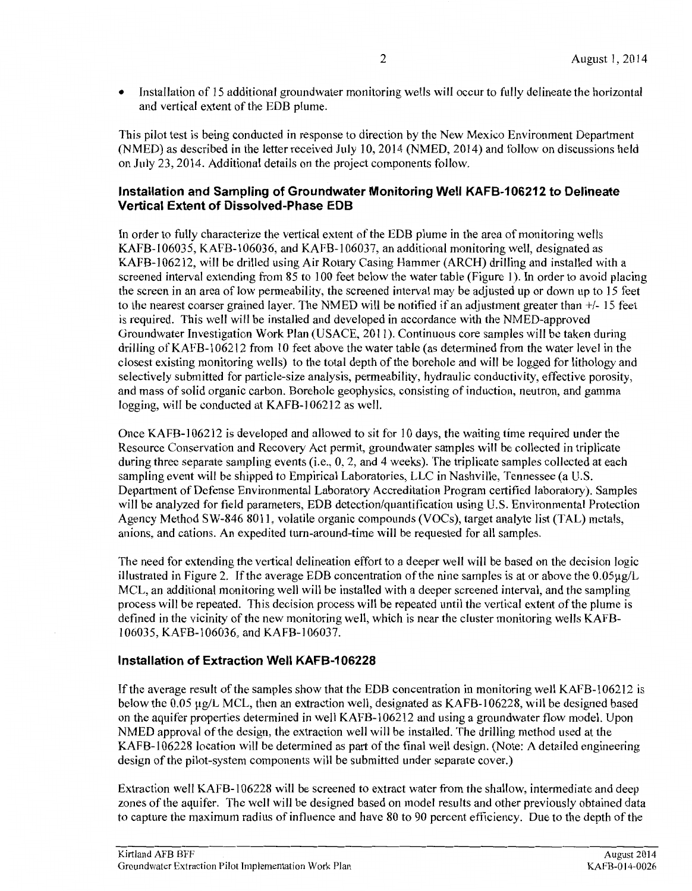• Installation of 15 additional groundwater monitoring wells will occur to fully delineate the horizontal and vertical extent of the EDB plume.

This pilot test is being conducted in response to direction by the New Mexico Environment Department (NMED) as described in the letter received July 10,2014 (NMED, 2014) and follow on discussions held on July 23, 2014. Additional details on the project components follow.

#### **Installation and Sampling of Groundwater Monitoring Well KAFB-1 06212 to Delineate Vertical Extent of Dissolved-Phase EDB**

In order to fully characterize the vertical extent of the EDB plume in the area of monitoring wells KAFB-I06035, KAFB-I06036, and KAFB-106037, an additional monitoring well, designated as KAFB-1062I2, will be drilled using Air Rotary Casing Hammer (ARCH) drilling and installed with a screened interval extending from 85 to 100 feet below the water table (Figure 1). In order to avoid placing the screen in an area of low permeability, the screened interval may be adjusted up or down up to I5 feet to the nearest coarser grained layer. The NMED will be notified if an adjustment greater than +/- I5 feet is required. This well will be installed and developed in accordance with the NMED-approved Groundwater Investigation Work Plan (USACE, 20II). Continuous core samples will be taken during drilling of KAFB-106212 from 10 feet above the water table (as determined from the water level in the closest existing monitoring wells) to the total depth of the borehole and will be logged for lithology and selectively submitted for particle-size analysis, permeability, hydraulic conductivity, effective porosity, and mass of solid organic carbon. Borehole geophysics, consisting of induction, neutron, and gamma logging, will be conducted at KAFB-106212 as well.

Once KAFB-106212 is developed and allowed to sit for 10 days, the waiting time required under the Resource Conservation and Recovery Act permit, groundwater samples will be collected in triplicate during three separate sampling events (i.e., 0, 2, and 4 weeks). The triplicate samples collected at each sampling event will be shipped to Empirical Laboratories, LLC in Nashville, Tennessee (a U.S. Department of Defense Environmental Laboratory Accreditation Program certified laboratory). Samples will be analyzed for field parameters, EDB detection/quantification using U.S. Environmental Protection Agency Method SW-846 8011, volatile organic compounds (VOCs), target analyte list (TAL) metals, anions, and cations. An expedited turn-around-time will be requested for all samples.

The need for extending the vertical delineation effort to a deeper well will be based on the decision logic illustrated in Figure 2. If the average EDB concentration of the nine samples is at or above the  $0.05\mu g/L$ MCL, an additional monitoring well will be installed with a deeper screened interval, and the sampling process will be repeated. This decision process will be repeated until the vertical extent of the plume is defined in the vicinity of the new monitoring well, which is near the cluster monitoring wells KAFB-I06035, KAFB-106036, and KAFB-I06037.

#### **Installation of Extraction Well KAFB-1 06228**

If the average result of the samples show that the EDB concentration in monitoring well KAFB-I 062I2 is below the 0.05 µg/L MCL, then an extraction well, designated as KAFB-106228, will be designed based on the aquifer properties determined in well KAFB-1 06212 and using a groundwater flow model. Upon NMED approval of the design, the extraction well will be installed. The drilling method used at the KAFB-1 06228 location will be determined as part of the final well design. (Note: A detailed engineering design of the pilot-system components will be submitted under separate cover.)

Extraction well KAFB-106228 will be screened to extract water from the shallow, intermediate and deep zones of the aquifer. The well will be designed based on model results and other previously obtained data to capture the maximum radius of influence and have 80 to 90 percent efficiency. Due to the depth of the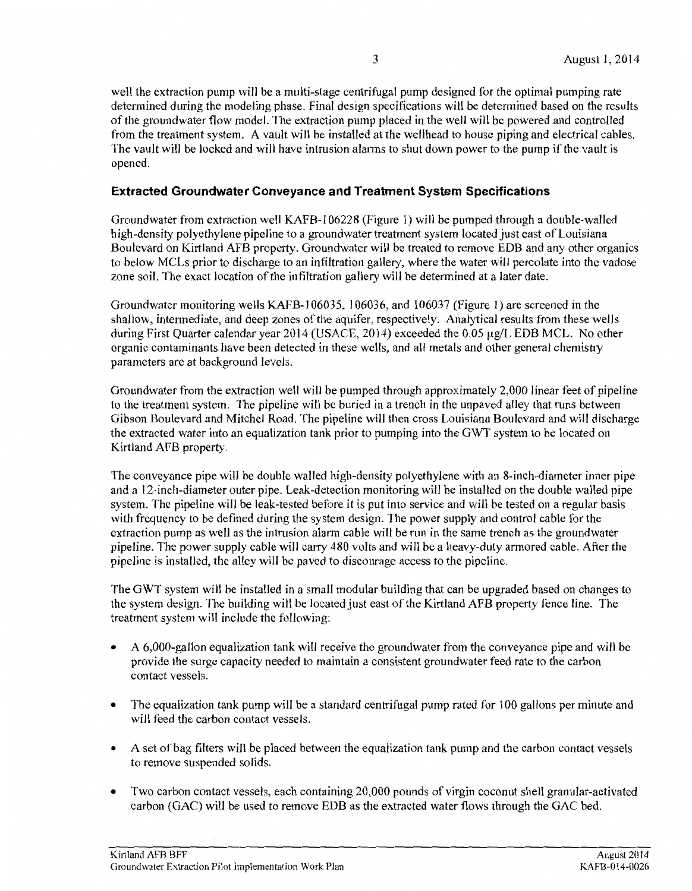#### **Extracted Groundwater Conveyance and Treatment System Specifications**

Groundwater from extraction well KAFB-1 06228 (Figure 1) will be pumped through a double-walled high-density polyethylene pipeline to a groundwater treatment system located just east of Louisiana Boulevard on Kirtland AFB property. Groundwater will be treated to remove EDB and any other organics to below MCLs prior to discharge to an infiltration gallery, where the water will percolate into the vadose zone soil. The exact location of the infiltration gallery will be determined at a later date.

Groundwater monitoring wells KAFB-1 06035, 106036, and 106037 (Figure 1) are screened in the shallow, intermediate, and deep zones of the aquifer, respectively. Analytical results from these wells during First Quarter calendar year 2014 (USACE, 2014) exceeded the 0.05 µg/L EDB MCL. No other organic contaminants have been detected in these wells, and all metals and other general chemistry parameters are at background levels.

Groundwater from the extraction well will be pumped through approximately 2,000 linear feet of pipeline to the treatment system. The pipeline will be buried in a trench in the unpaved alley that runs between Gibson Boulevard and Mitchel Road. The pipeline will then cross Louisiana Boulevard and will discharge the extracted water into an equalization tank prior to pumping into the GWT system to be located on Kirtland AFB property.

The conveyance pipe will be double walled high-density polyethylene with an 8-inch-diameter inner pipe and a 12-inch-diameter outer pipe. Leak-detection monitoring will be installed on the double walled pipe system. The pipeline will be leak-tested before it is put into service and will be tested on a regular basis with frequency to be defined during the system design. The power supply and control cable for the extraction pump as well as the intrusion alarm cable will be run in the same trench as the groundwater pipeline. The power supply cable will carry 480 volts and will be a heavy-duty armored cable. After the pipeline is installed, the alley will be paved to discourage access to the pipeline.

The GWT system will be installed in a small modular building that can be upgraded based on changes to the system design. The building will be located just east of the Kirtland AFB property fence line. The treatment system will include the following:

- A 6,000-gallon equalization tank will receive the groundwater from the conveyance pipe and will be provide the surge capacity needed to maintain a consistent groundwater feed rate to the carbon contact vessels.
- The equalization tank pump will be a standard centrifugal pump rated for 100 gallons per minute and will feed the carbon contact vessels.
- A set of bag filters will be placed between the equalization tank pump and the carbon contact vessels to remove suspended solids.
- Two carbon contact vessels, each containing 20,000 pounds of virgin coconut shell granular-activated carbon (GAC) will be used to remove EDB as the extracted water flows through the GAC bed.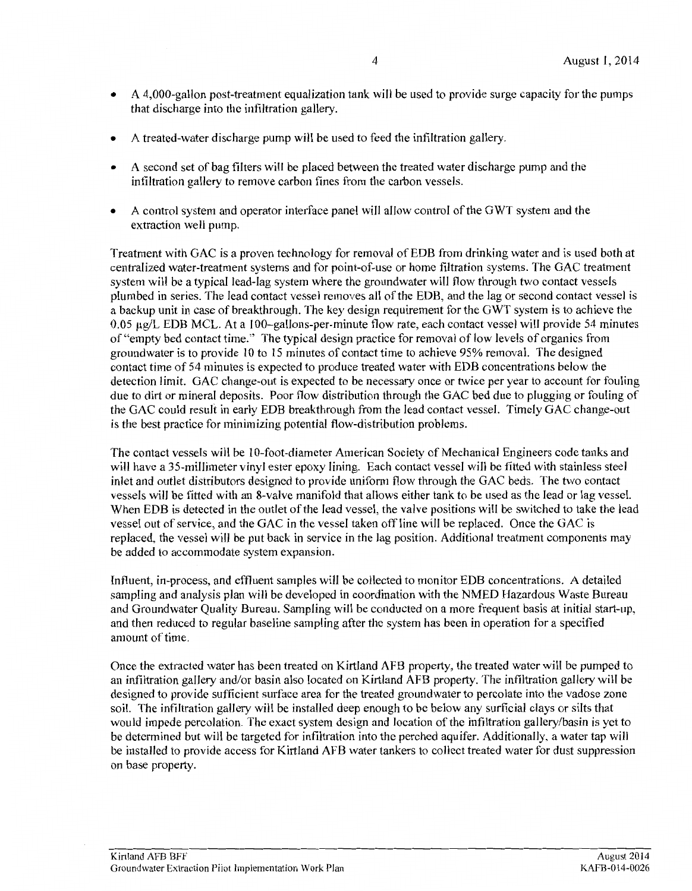- A 4,000-gallon post-treatment equalization tank will be used to provide surge capacity for the pumps that discharge into the infiltration gallery.
- A treated-water discharge pump will be used to feed the infiltration gallery.
- A second set of bag filters will be placed between the treated water discharge pump and the infiltration gallery to remove carbon fines from the carbon vessels.
- A control system and operator interface panel will allow control of the GWT system and the extraction well pump.

Treatment with GAC is a proven technology for removal of EDB from drinking water and is used both at centralized water-treatment systems and for point-of-use or home filtration systems. The GAC treatment system will be a typical lead-lag system where the groundwater will flow through two contact vessels plumbed in series. The lead contact vessel removes all ofthe EDB, and the lag or second contact vessel is a backup unit in case of breakthrough. The key design requirement for the GWT system is to achieve the 0.05  $\mu$ g/L EDB MCL. At a 100-gallons-per-minute flow rate, each contact vessel will provide 54 minutes of "empty bed contact time." The typical design practice for removal of low levels of organics from groundwater is to provide 10 to 15 minutes of contact time to achieve 95% removal. The designed contact time of 54 minutes is expected to produce treated water with EDB concentrations below the detection limit. GAC change-out is expected to be necessary once or twice per year to account for fouling due to dirt or mineral deposits. Poor flow distribution through the GAC bed due to plugging or fouling of the GAC could result in early EDB breakthrough from the lead contact vessel. Timely GAC change-out is the best practice for minimizing potential flow-distribution problems.

The contact vessels will be 10-foot-diameter American Society of Mechanical Engineers code tanks and will have a 35-millimeter vinyl ester epoxy lining. Each contact vessel will be fitted with stainless steel inlet and outlet distributors designed to provide uniform flow through the GAC beds. The two contact vessels will be fitted with an 8-valve manifold that allows either tank to be used as the lead or lag vessel. When EDB is detected in the outlet of the lead vessel, the valve positions will be switched to take the lead vessel out of service, and the GAC in the vessel taken off line will be replaced. Once the GAC is replaced, the vessel will be put back in service in the lag position. Additional treatment components may be added to accommodate system expansion.

Influent, in-process, and effluent samples will be collected to monitor EDB concentrations. A detailed sampling and analysis plan will be developed in coordination with the NMED Hazardous Waste Bureau and Groundwater Quality Bureau. Sampling will be conducted on a more frequent basis at initial start-up, and then reduced to regular baseline sampling after the system has been in operation for a specified amount of time.

Once the extracted water has been treated on Kirtland AFB property, the treated water will be pumped to an infiltration gallery and/or basin also located on Kirtland AFB property. The infiltration gallery will be designed to provide sufficient surface area for the treated groundwater to percolate into the vadose zone soil. The infiltration gallery will be installed deep enough to be below any surficial clays or silts that would impede percolation. The exact system design and location of the infiltration gallery/basin is yet to be determined but will be targeted for infiltration into the perched aquifer. Additionally, a water tap will be installed to provide access for Kirtland AFB water tankers to collect treated water for dust suppression on base property.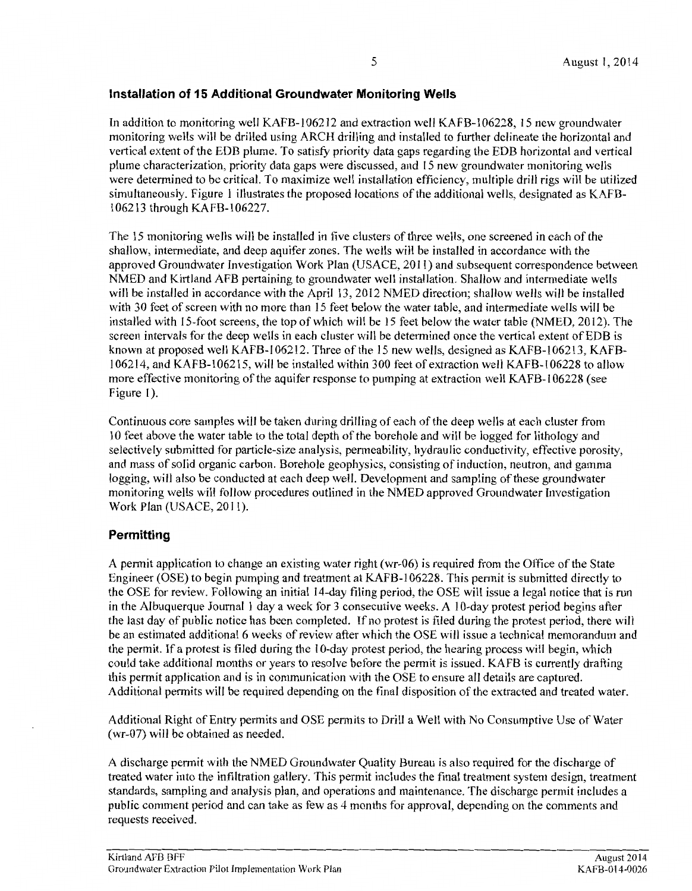#### **Installation of 15 Additional Groundwater Monitoring Wells**

In addition to monitoring well KAFB-1 06212 and extraction well KAFB-1 06228, 15 new groundwater monitoring wells will be drilled using ARCH drilling and installed to further delineate the horizontal and vertical extent of the EDB plume. To satisfy priority data gaps regarding the EDB horizontal and vertical plume characterization, priority data gaps were discussed, and 15 new groundwater monitoring wells were determined to be critical. To maximize well installation efficiency, multiple drill rigs will be utilized simultaneously. Figure I illustrates the proposed locations of the additional wells, designated as KAFB-106213 through KAFB-106227.

The 15 monitoring wells will be installed in five clusters of three wells, one screened in each ofthe shallow, intermediate, and deep aquifer zones. The wells will be installed in accordance with the approved Groundwater Investigation Work Plan (USACE, 2011) and subsequent correspondence between NMED and Kirtland AFB pertaining to groundwater well installation. Shallow and intermediate wells will be installed in accordance with the April 13, 2012 NMED direction; shallow wells will be installed with 30 feet of screen with no more than 15 feet below the water table, and intermediate wells will be installed with 15-foot screens, the top of which will be 15 feet below the water table (NMED, 2012). The screen intervals for the deep wells in each cluster will be determined once the vertical extent of EDB is known at proposed well KAFB-106212. Three of the 15 new wells, designed as KAFB-106213, KAFB-1 06214, and KAFB-1 06215, will be installed within 300 feet of extraction well KAFB-1 06228 to allow more effective monitoring of the aquifer response to pumping at extraction well KAFB-1 06228 (see Figure 1).

Continuous core samples will be taken during drilling of each of the deep wells at each cluster from 10 feet above the water table to the total depth of the borehole and will be logged for lithology and selectively submitted for particle-size analysis, permeability, hydraulic conductivity, effective porosity, and mass of solid organic carbon. Borehole geophysics, consisting of induction, neutron, and gamma logging, will also be conducted at each deep well. Development and sampling of these groundwater monitoring wells will follow procedures outlined in the NMED approved Groundwater Investigation Work Plan (USACE, 2011).

### **Permitting**

A permit application to change an existing water right (wr-06) is required from the Office of the State Engineer (OSE) to begin pumping and treatment at KAFB-1 06228. This permit is submitted directly to the OSE for review. Following an initial 14-day filing period, the OSE will issue a legal notice that is run in the Albuquerque Journal 1 day a week for 3 consecutive weeks. A I 0-day protest period begins after the last day of public notice has been completed. If no protest is filed during the protest period, there will be an estimated additional 6 weeks of review after which the OSE will issue a technical memorandum and the permit. If a protest is filed during the 1 0-day protest period, the hearing process will begin, which could take additional months or years to resolve before the permit is issued. KAFB is currently drafting this permit application and is in communication with the OSE to ensure all details are captured. Additional permits will be required depending on the final disposition of the extracted and treated water.

Additional Right of Entry permits and OSE permits to Drill a Well with No Consumptive Use of Water (wr-07) will be obtained as needed.

A discharge permit with the NMED Groundwater Quality Bureau is also required for the discharge of treated water into the infiltration gallery. This permit includes the final treatment system design, treatment standards, sampling and analysis plan, and operations and maintenance. The discharge permit includes a public comment period and can take as few as 4 months for approval, depending on the comments and requests received.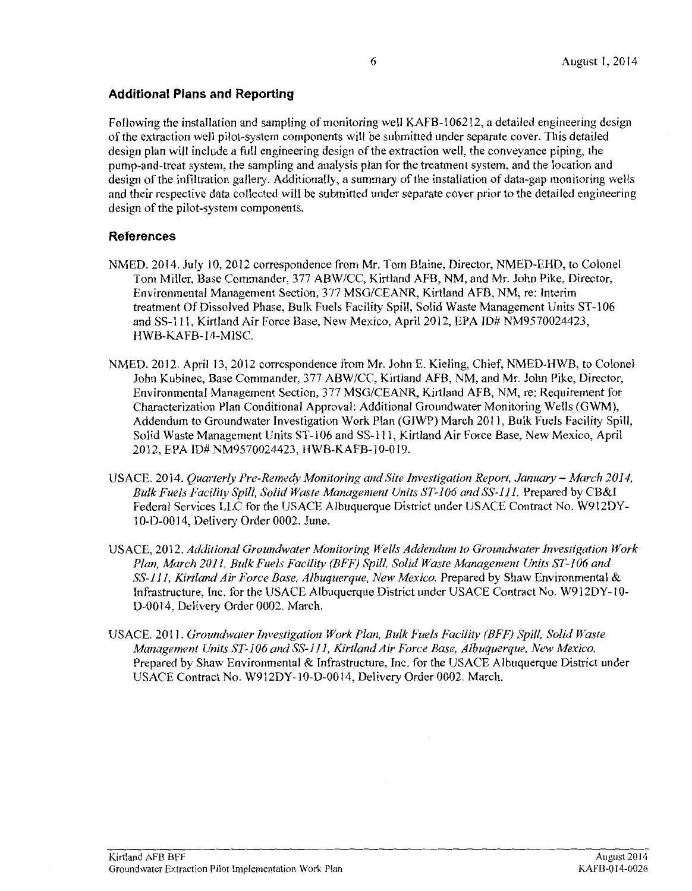#### **Additional Plans and Reporting**

Following the installation and sampling of monitoring well KAFB-106212, a detailed engineering design of the extraction well pilot-system components will be submitted under separate cover. This detailed design plan will include a full engineering design of the extraction well, the conveyance piping, the pump-and-treat system, the sampling and analysis plan for the treatment system, and the location and design of the infiltration gallery. Additionally, a summary of the installation of data-gap monitoring wells and their respective data collected will be submitted under separate cover prior to the detailed engineering design of the pilot-system components.

#### **References**

- NMED. 2014. July 10, 2012 correspondence from Mr. Tom Blaine, Director, NMED-EHD, to Colonel Tom Miller, Base Commander, 377 ABW/CC, Kirtland AFB, NM, and Mr. John Pike, Director, Environmental Management Section, 3 77 MSG/CEANR, Kirtland AFB, NM, re: Interim treatment Of Dissolved Phase, Bulk Fuels Facility Spill, Solid Waste Management Units ST-106 and SS-111, Kirtland Air Force Base, New Mexico, April2012, EPA ID# NM9570024423, HWB-KAFB-14-MISC.
- NMED. 2012. April 13, 2012 correspondence from Mr. John E. Kieling, Chief, NMED-HWB, to Colonel John Kubinec, Base Commander, 377 ABW/CC, Kirtland AFB, NM, and Mr. John Pike, Director, Environmental Management Section, 377 MSG/CEANR, Kirtland AFB, NM, re: Requirement for Characterization Plan Conditional Approval: Additional Groundwater Monitoring Wells (GWM), Addendum to Groundwater Investigation Work Plan (GIWP) March 2011, Bulk Fuels Facility Spill, Solid Waste Management Units ST -106 and SS-111, Kirtland Air Force Base, New Mexico, April 2012, EPA ID#NM9570024423, HWB-KAFB-10-019.
- USACE. 2014. *Quarterly Pre-Remedy Monitoring and Site Investigation Report, January- March 2014, Bulk Fuels Facility Spill, Solid Waste Management Units ST-106 and SS-111.* Prepared by CB&I Federal Services LLC for the USACE Albuquerque District under USACE Contract No. W912DY-1 0-D-00 14, Delivery Order 0002. June.
- USACE, 2012. *Additional Groundwater Monitoring Wells Addendum to Groundwater Investigation Work Plan, March 2011, Bulk Fuels Facility (BFF) Spill, Solid Waste Management Units ST-106 and SS-111, Kirtland Air Force Base, Albuquerque, New Mexico.* Prepared by Shaw Environmental & Infrastructure, Inc. for the USACE Albuquerque District under USACE Contract No. W912DY -10- D-0014, Delivery Order 0002. March.
- USACE. 2011. *Groundwater Investigation Work Plan, Bulk Fuels Facility (BFF) Spill, Solid Waste Management Units ST-106 and SS-111, Kirtland Air Force Base, Albuquerque, New Mexico.*  Prepared by Shaw Environmental & Infrastructure, Inc. for the USACE Albuquerque District under USACE Contract No. W912DY-10-D-0014, Delivery Order 0002. March.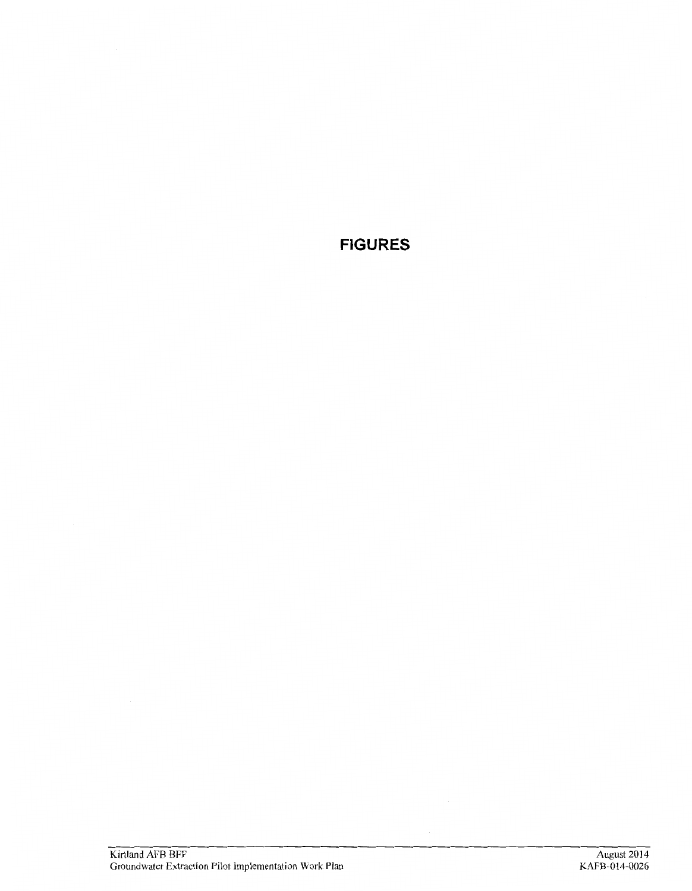**FIGURES**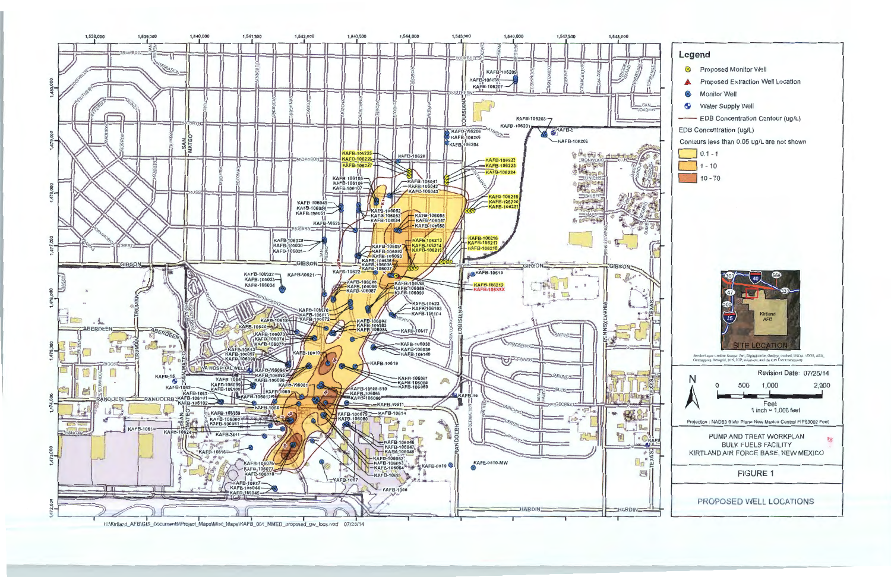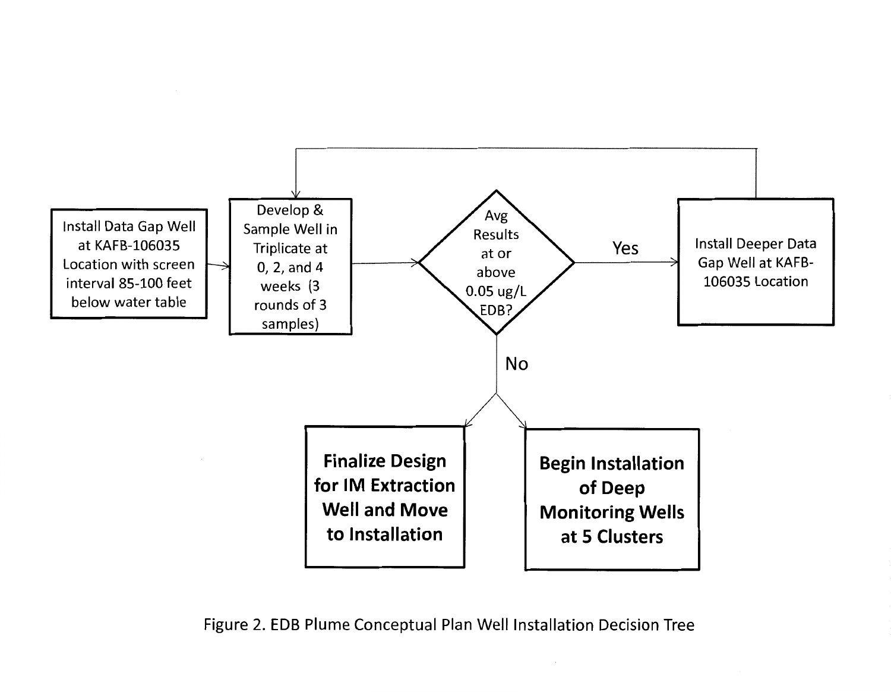

Figure 2. EDB Plume Conceptual Plan Well Installation Decision Tree